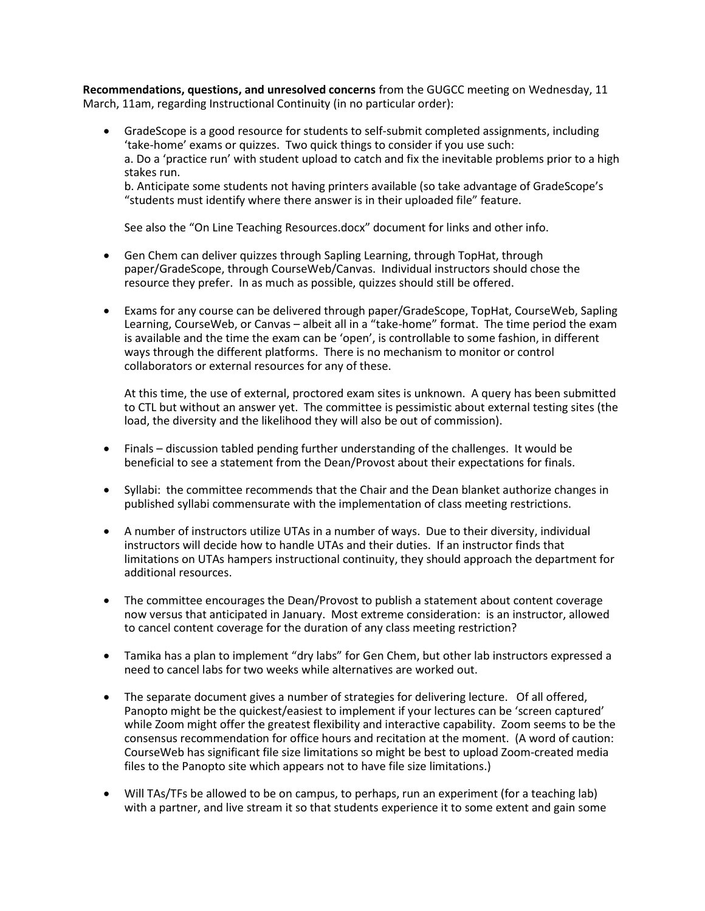Recommendations, questions, and unresolved concerns from the GUGCC meeting on Wednesday, 11 March, 11am, regarding Instructional Continuity (in no particular order):

 GradeScope is a good resource for students to self-submit completed assignments, including 'take-home' exams or quizzes. Two quick things to consider if you use such: a. Do a 'practice run' with student upload to catch and fix the inevitable problems prior to a high stakes run.

b. Anticipate some students not having printers available (so take advantage of GradeScope's "students must identify where there answer is in their uploaded file" feature.

See also the "On Line Teaching Resources.docx" document for links and other info.

- Gen Chem can deliver quizzes through Sapling Learning, through TopHat, through paper/GradeScope, through CourseWeb/Canvas. Individual instructors should chose the resource they prefer. In as much as possible, quizzes should still be offered.
- Exams for any course can be delivered through paper/GradeScope, TopHat, CourseWeb, Sapling Learning, CourseWeb, or Canvas – albeit all in a "take-home" format. The time period the exam is available and the time the exam can be 'open', is controllable to some fashion, in different ways through the different platforms. There is no mechanism to monitor or control collaborators or external resources for any of these.

At this time, the use of external, proctored exam sites is unknown. A query has been submitted to CTL but without an answer yet. The committee is pessimistic about external testing sites (the load, the diversity and the likelihood they will also be out of commission).

- Finals discussion tabled pending further understanding of the challenges. It would be beneficial to see a statement from the Dean/Provost about their expectations for finals.
- Syllabi: the committee recommends that the Chair and the Dean blanket authorize changes in published syllabi commensurate with the implementation of class meeting restrictions.
- A number of instructors utilize UTAs in a number of ways. Due to their diversity, individual instructors will decide how to handle UTAs and their duties. If an instructor finds that limitations on UTAs hampers instructional continuity, they should approach the department for additional resources.
- The committee encourages the Dean/Provost to publish a statement about content coverage now versus that anticipated in January. Most extreme consideration: is an instructor, allowed to cancel content coverage for the duration of any class meeting restriction?
- Tamika has a plan to implement "dry labs" for Gen Chem, but other lab instructors expressed a need to cancel labs for two weeks while alternatives are worked out.
- The separate document gives a number of strategies for delivering lecture. Of all offered, Panopto might be the quickest/easiest to implement if your lectures can be 'screen captured' while Zoom might offer the greatest flexibility and interactive capability. Zoom seems to be the consensus recommendation for office hours and recitation at the moment. (A word of caution: CourseWeb has significant file size limitations so might be best to upload Zoom-created media files to the Panopto site which appears not to have file size limitations.)
- Will TAs/TFs be allowed to be on campus, to perhaps, run an experiment (for a teaching lab) with a partner, and live stream it so that students experience it to some extent and gain some